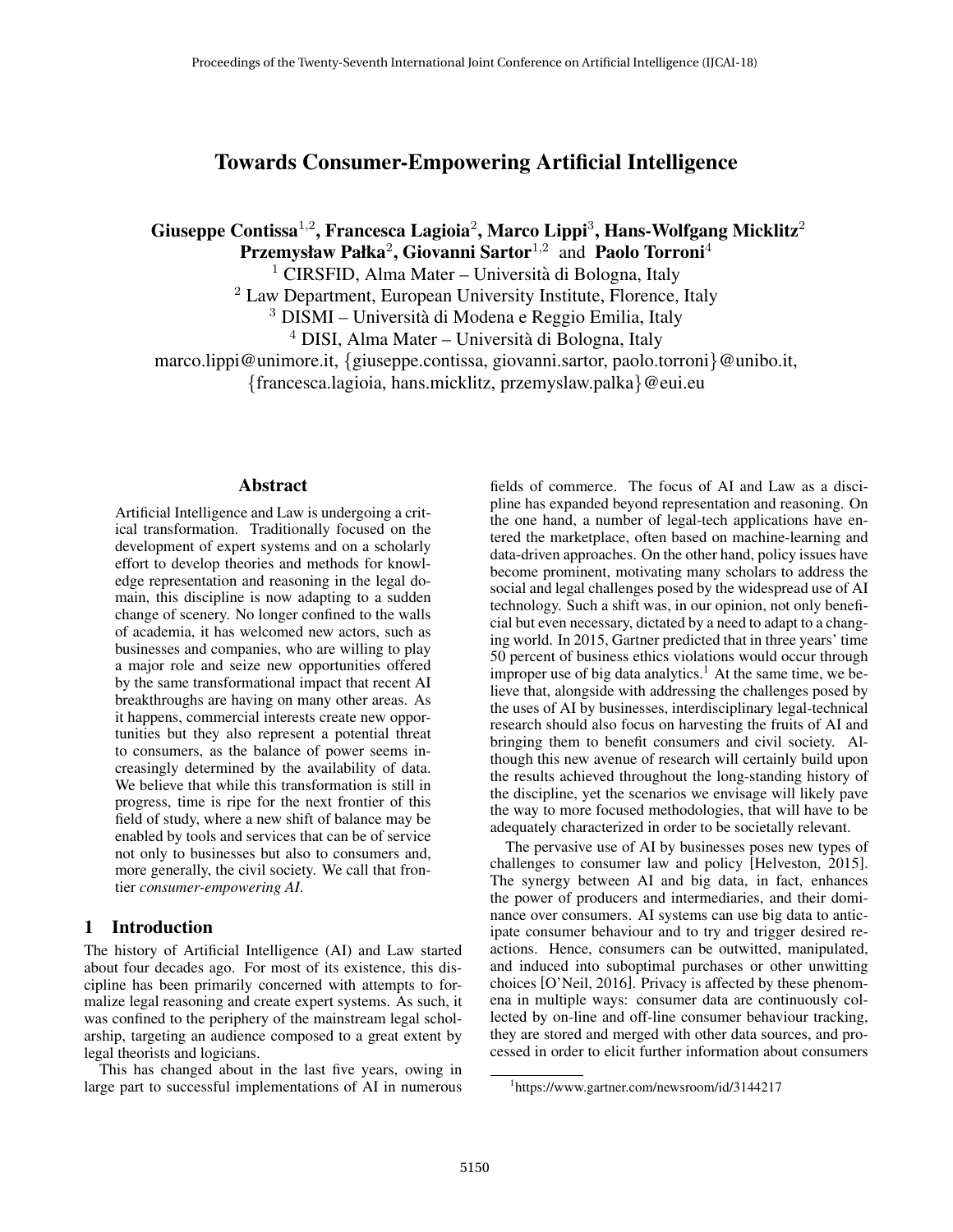## Towards Consumer-Empowering Artificial Intelligence

Giuseppe Contissa<sup>1,2</sup>, Francesca Lagioia<sup>2</sup>, Marco Lippi<sup>3</sup>, Hans-Wolfgang Micklitz<sup>2</sup> Przemysław Pałka $^2$ , Giovanni Sartor $^{1,2}$  and Paolo Torroni $^4$ 

<sup>1</sup> CIRSFID, Alma Mater – Università di Bologna, Italy

<sup>2</sup> Law Department, European University Institute, Florence, Italy

<sup>3</sup> DISMI – Universita di Modena e Reggio Emilia, Italy `

 $4$  DISI, Alma Mater – Università di Bologna, Italy

marco.lippi@unimore.it, {giuseppe.contissa, giovanni.sartor, paolo.torroni}@unibo.it,

{francesca.lagioia, hans.micklitz, przemyslaw.palka}@eui.eu

#### Abstract

Artificial Intelligence and Law is undergoing a critical transformation. Traditionally focused on the development of expert systems and on a scholarly effort to develop theories and methods for knowledge representation and reasoning in the legal domain, this discipline is now adapting to a sudden change of scenery. No longer confined to the walls of academia, it has welcomed new actors, such as businesses and companies, who are willing to play a major role and seize new opportunities offered by the same transformational impact that recent AI breakthroughs are having on many other areas. As it happens, commercial interests create new opportunities but they also represent a potential threat to consumers, as the balance of power seems increasingly determined by the availability of data. We believe that while this transformation is still in progress, time is ripe for the next frontier of this field of study, where a new shift of balance may be enabled by tools and services that can be of service not only to businesses but also to consumers and, more generally, the civil society. We call that frontier *consumer-empowering AI*.

### 1 Introduction

The history of Artificial Intelligence (AI) and Law started about four decades ago. For most of its existence, this discipline has been primarily concerned with attempts to formalize legal reasoning and create expert systems. As such, it was confined to the periphery of the mainstream legal scholarship, targeting an audience composed to a great extent by legal theorists and logicians.

This has changed about in the last five years, owing in large part to successful implementations of AI in numerous fields of commerce. The focus of AI and Law as a discipline has expanded beyond representation and reasoning. On the one hand, a number of legal-tech applications have entered the marketplace, often based on machine-learning and data-driven approaches. On the other hand, policy issues have become prominent, motivating many scholars to address the social and legal challenges posed by the widespread use of AI technology. Such a shift was, in our opinion, not only beneficial but even necessary, dictated by a need to adapt to a changing world. In 2015, Gartner predicted that in three years' time 50 percent of business ethics violations would occur through improper use of big data analytics.<sup>1</sup> At the same time, we believe that, alongside with addressing the challenges posed by the uses of AI by businesses, interdisciplinary legal-technical research should also focus on harvesting the fruits of AI and bringing them to benefit consumers and civil society. Although this new avenue of research will certainly build upon the results achieved throughout the long-standing history of the discipline, yet the scenarios we envisage will likely pave the way to more focused methodologies, that will have to be adequately characterized in order to be societally relevant.

The pervasive use of AI by businesses poses new types of challenges to consumer law and policy [Helveston, 2015]. The synergy between AI and big data, in fact, enhances the power of producers and intermediaries, and their dominance over consumers. AI systems can use big data to anticipate consumer behaviour and to try and trigger desired reactions. Hence, consumers can be outwitted, manipulated, and induced into suboptimal purchases or other unwitting choices [O'Neil, 2016]. Privacy is affected by these phenomena in multiple ways: consumer data are continuously collected by on-line and off-line consumer behaviour tracking, they are stored and merged with other data sources, and processed in order to elicit further information about consumers

<sup>1</sup> https://www.gartner.com/newsroom/id/3144217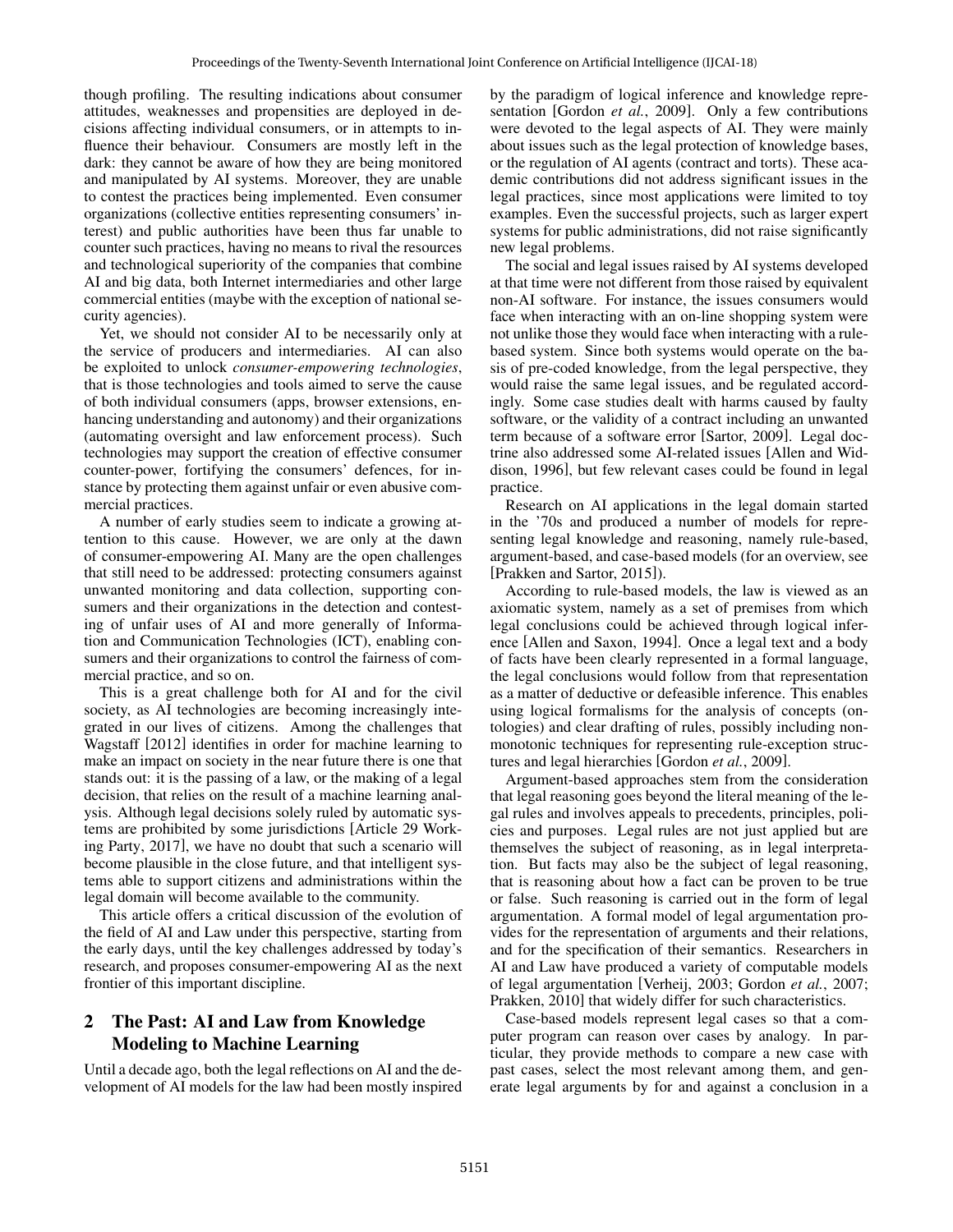though profiling. The resulting indications about consumer attitudes, weaknesses and propensities are deployed in decisions affecting individual consumers, or in attempts to influence their behaviour. Consumers are mostly left in the dark: they cannot be aware of how they are being monitored and manipulated by AI systems. Moreover, they are unable to contest the practices being implemented. Even consumer organizations (collective entities representing consumers' interest) and public authorities have been thus far unable to counter such practices, having no means to rival the resources and technological superiority of the companies that combine AI and big data, both Internet intermediaries and other large commercial entities (maybe with the exception of national security agencies).

Yet, we should not consider AI to be necessarily only at the service of producers and intermediaries. AI can also be exploited to unlock *consumer-empowering technologies*, that is those technologies and tools aimed to serve the cause of both individual consumers (apps, browser extensions, enhancing understanding and autonomy) and their organizations (automating oversight and law enforcement process). Such technologies may support the creation of effective consumer counter-power, fortifying the consumers' defences, for instance by protecting them against unfair or even abusive commercial practices.

A number of early studies seem to indicate a growing attention to this cause. However, we are only at the dawn of consumer-empowering AI. Many are the open challenges that still need to be addressed: protecting consumers against unwanted monitoring and data collection, supporting consumers and their organizations in the detection and contesting of unfair uses of AI and more generally of Information and Communication Technologies (ICT), enabling consumers and their organizations to control the fairness of commercial practice, and so on.

This is a great challenge both for AI and for the civil society, as AI technologies are becoming increasingly integrated in our lives of citizens. Among the challenges that Wagstaff [2012] identifies in order for machine learning to make an impact on society in the near future there is one that stands out: it is the passing of a law, or the making of a legal decision, that relies on the result of a machine learning analysis. Although legal decisions solely ruled by automatic systems are prohibited by some jurisdictions [Article 29 Working Party, 2017], we have no doubt that such a scenario will become plausible in the close future, and that intelligent systems able to support citizens and administrations within the legal domain will become available to the community.

This article offers a critical discussion of the evolution of the field of AI and Law under this perspective, starting from the early days, until the key challenges addressed by today's research, and proposes consumer-empowering AI as the next frontier of this important discipline.

# 2 The Past: AI and Law from Knowledge Modeling to Machine Learning

Until a decade ago, both the legal reflections on AI and the development of AI models for the law had been mostly inspired by the paradigm of logical inference and knowledge representation [Gordon *et al.*, 2009]. Only a few contributions were devoted to the legal aspects of AI. They were mainly about issues such as the legal protection of knowledge bases, or the regulation of AI agents (contract and torts). These academic contributions did not address significant issues in the legal practices, since most applications were limited to toy examples. Even the successful projects, such as larger expert systems for public administrations, did not raise significantly new legal problems.

The social and legal issues raised by AI systems developed at that time were not different from those raised by equivalent non-AI software. For instance, the issues consumers would face when interacting with an on-line shopping system were not unlike those they would face when interacting with a rulebased system. Since both systems would operate on the basis of pre-coded knowledge, from the legal perspective, they would raise the same legal issues, and be regulated accordingly. Some case studies dealt with harms caused by faulty software, or the validity of a contract including an unwanted term because of a software error [Sartor, 2009]. Legal doctrine also addressed some AI-related issues [Allen and Widdison, 1996], but few relevant cases could be found in legal practice.

Research on AI applications in the legal domain started in the '70s and produced a number of models for representing legal knowledge and reasoning, namely rule-based, argument-based, and case-based models (for an overview, see [Prakken and Sartor, 2015]).

According to rule-based models, the law is viewed as an axiomatic system, namely as a set of premises from which legal conclusions could be achieved through logical inference [Allen and Saxon, 1994]. Once a legal text and a body of facts have been clearly represented in a formal language, the legal conclusions would follow from that representation as a matter of deductive or defeasible inference. This enables using logical formalisms for the analysis of concepts (ontologies) and clear drafting of rules, possibly including nonmonotonic techniques for representing rule-exception structures and legal hierarchies [Gordon *et al.*, 2009].

Argument-based approaches stem from the consideration that legal reasoning goes beyond the literal meaning of the legal rules and involves appeals to precedents, principles, policies and purposes. Legal rules are not just applied but are themselves the subject of reasoning, as in legal interpretation. But facts may also be the subject of legal reasoning, that is reasoning about how a fact can be proven to be true or false. Such reasoning is carried out in the form of legal argumentation. A formal model of legal argumentation provides for the representation of arguments and their relations, and for the specification of their semantics. Researchers in AI and Law have produced a variety of computable models of legal argumentation [Verheij, 2003; Gordon *et al.*, 2007; Prakken, 2010] that widely differ for such characteristics.

Case-based models represent legal cases so that a computer program can reason over cases by analogy. In particular, they provide methods to compare a new case with past cases, select the most relevant among them, and generate legal arguments by for and against a conclusion in a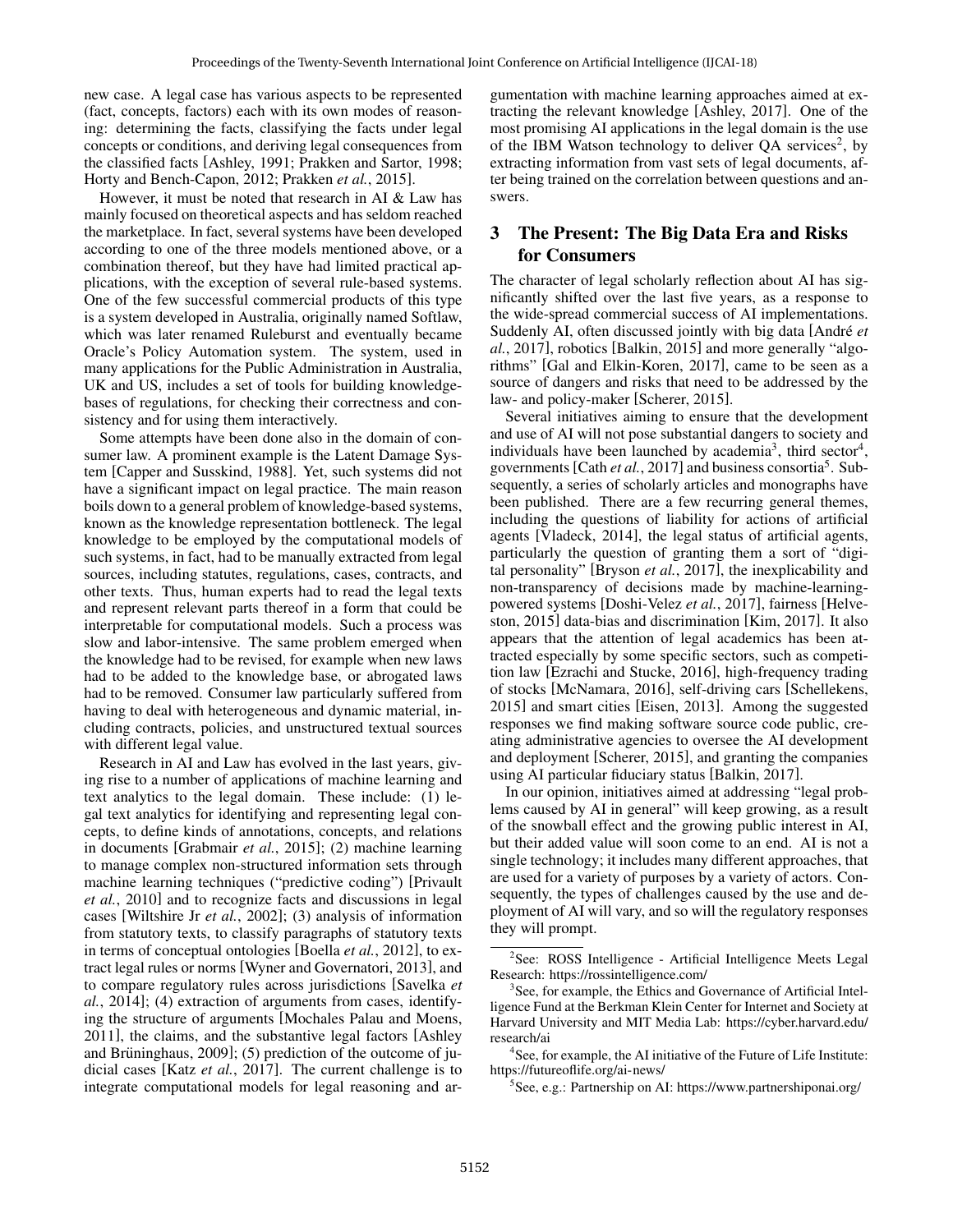new case. A legal case has various aspects to be represented (fact, concepts, factors) each with its own modes of reasoning: determining the facts, classifying the facts under legal concepts or conditions, and deriving legal consequences from the classified facts [Ashley, 1991; Prakken and Sartor, 1998; Horty and Bench-Capon, 2012; Prakken *et al.*, 2015].

However, it must be noted that research in AI & Law has mainly focused on theoretical aspects and has seldom reached the marketplace. In fact, several systems have been developed according to one of the three models mentioned above, or a combination thereof, but they have had limited practical applications, with the exception of several rule-based systems. One of the few successful commercial products of this type is a system developed in Australia, originally named Softlaw, which was later renamed Ruleburst and eventually became Oracle's Policy Automation system. The system, used in many applications for the Public Administration in Australia, UK and US, includes a set of tools for building knowledgebases of regulations, for checking their correctness and consistency and for using them interactively.

Some attempts have been done also in the domain of consumer law. A prominent example is the Latent Damage System [Capper and Susskind, 1988]. Yet, such systems did not have a significant impact on legal practice. The main reason boils down to a general problem of knowledge-based systems, known as the knowledge representation bottleneck. The legal knowledge to be employed by the computational models of such systems, in fact, had to be manually extracted from legal sources, including statutes, regulations, cases, contracts, and other texts. Thus, human experts had to read the legal texts and represent relevant parts thereof in a form that could be interpretable for computational models. Such a process was slow and labor-intensive. The same problem emerged when the knowledge had to be revised, for example when new laws had to be added to the knowledge base, or abrogated laws had to be removed. Consumer law particularly suffered from having to deal with heterogeneous and dynamic material, including contracts, policies, and unstructured textual sources with different legal value.

Research in AI and Law has evolved in the last years, giving rise to a number of applications of machine learning and text analytics to the legal domain. These include: (1) legal text analytics for identifying and representing legal concepts, to define kinds of annotations, concepts, and relations in documents [Grabmair *et al.*, 2015]; (2) machine learning to manage complex non-structured information sets through machine learning techniques ("predictive coding") [Privault *et al.*, 2010] and to recognize facts and discussions in legal cases [Wiltshire Jr *et al.*, 2002]; (3) analysis of information from statutory texts, to classify paragraphs of statutory texts in terms of conceptual ontologies [Boella *et al.*, 2012], to extract legal rules or norms [Wyner and Governatori, 2013], and to compare regulatory rules across jurisdictions [Savelka *et al.*, 2014]; (4) extraction of arguments from cases, identifying the structure of arguments [Mochales Palau and Moens, 2011], the claims, and the substantive legal factors [Ashley and Brüninghaus,  $2009$ ]; (5) prediction of the outcome of judicial cases [Katz *et al.*, 2017]. The current challenge is to integrate computational models for legal reasoning and argumentation with machine learning approaches aimed at extracting the relevant knowledge [Ashley, 2017]. One of the most promising AI applications in the legal domain is the use of the IBM Watson technology to deliver QA services<sup>2</sup>, by extracting information from vast sets of legal documents, after being trained on the correlation between questions and answers.

### 3 The Present: The Big Data Era and Risks for Consumers

The character of legal scholarly reflection about AI has significantly shifted over the last five years, as a response to the wide-spread commercial success of AI implementations. Suddenly AI, often discussed jointly with big data [André *et al.*, 2017], robotics [Balkin, 2015] and more generally "algorithms" [Gal and Elkin-Koren, 2017], came to be seen as a source of dangers and risks that need to be addressed by the law- and policy-maker [Scherer, 2015].

Several initiatives aiming to ensure that the development and use of AI will not pose substantial dangers to society and individuals have been launched by academia<sup>3</sup>, third sector<sup>4</sup>, governments [Cath *et al.*, 2017] and business consortia<sup>5</sup>. Subsequently, a series of scholarly articles and monographs have been published. There are a few recurring general themes, including the questions of liability for actions of artificial agents [Vladeck, 2014], the legal status of artificial agents, particularly the question of granting them a sort of "digital personality" [Bryson *et al.*, 2017], the inexplicability and non-transparency of decisions made by machine-learningpowered systems [Doshi-Velez *et al.*, 2017], fairness [Helveston, 2015] data-bias and discrimination [Kim, 2017]. It also appears that the attention of legal academics has been attracted especially by some specific sectors, such as competition law [Ezrachi and Stucke, 2016], high-frequency trading of stocks [McNamara, 2016], self-driving cars [Schellekens, 2015] and smart cities [Eisen, 2013]. Among the suggested responses we find making software source code public, creating administrative agencies to oversee the AI development and deployment [Scherer, 2015], and granting the companies using AI particular fiduciary status [Balkin, 2017].

In our opinion, initiatives aimed at addressing "legal problems caused by AI in general" will keep growing, as a result of the snowball effect and the growing public interest in AI, but their added value will soon come to an end. AI is not a single technology; it includes many different approaches, that are used for a variety of purposes by a variety of actors. Consequently, the types of challenges caused by the use and deployment of AI will vary, and so will the regulatory responses they will prompt.

<sup>&</sup>lt;sup>2</sup>See: ROSS Intelligence - Artificial Intelligence Meets Legal Research: https://rossintelligence.com/

<sup>&</sup>lt;sup>3</sup>See, for example, the Ethics and Governance of Artificial Intelligence Fund at the Berkman Klein Center for Internet and Society at Harvard University and MIT Media Lab: https://cyber.harvard.edu/ research/ai

<sup>&</sup>lt;sup>4</sup>See, for example, the AI initiative of the Future of Life Institute: https://futureoflife.org/ai-news/

<sup>5</sup> See, e.g.: Partnership on AI: https://www.partnershiponai.org/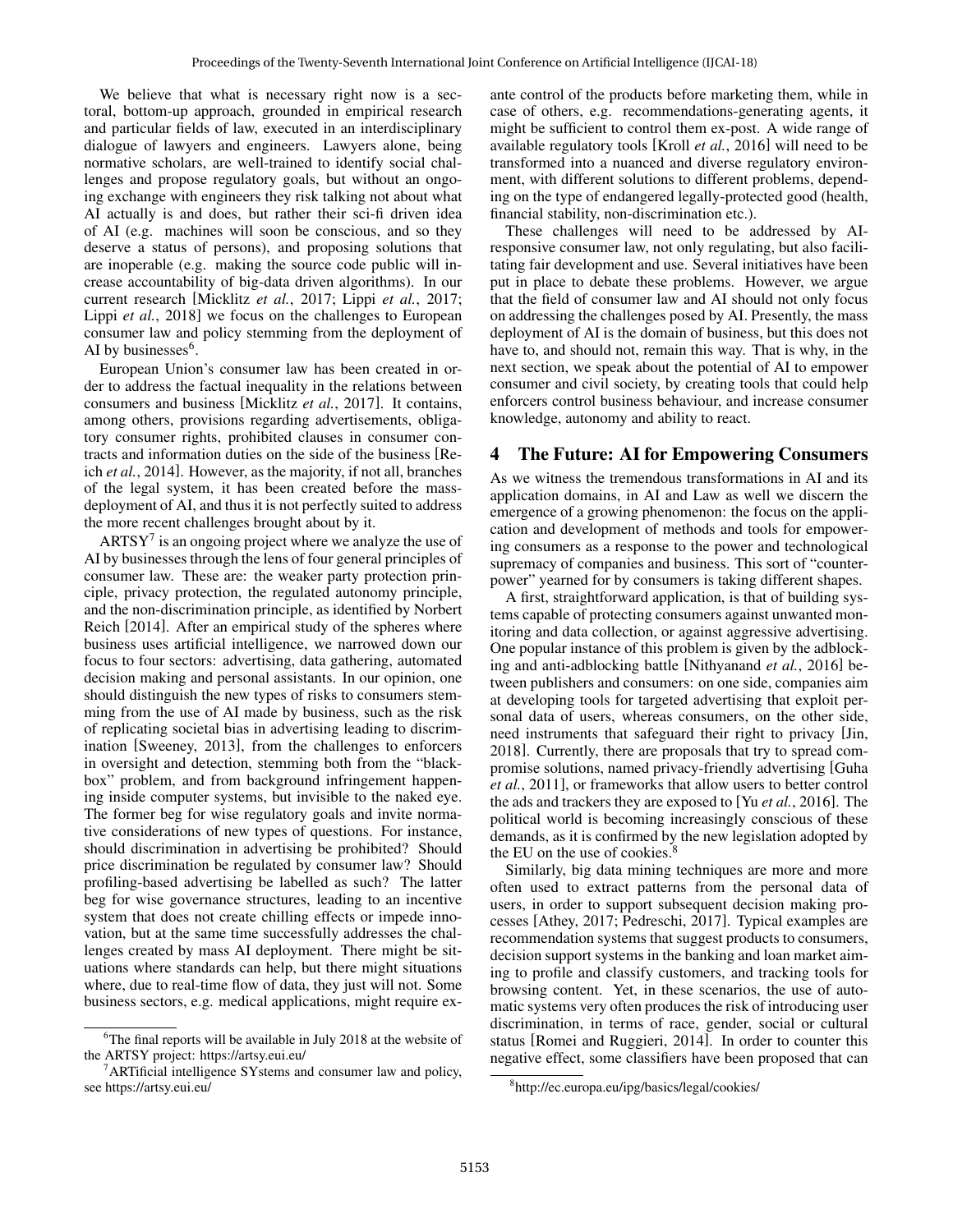We believe that what is necessary right now is a sectoral, bottom-up approach, grounded in empirical research and particular fields of law, executed in an interdisciplinary dialogue of lawyers and engineers. Lawyers alone, being normative scholars, are well-trained to identify social challenges and propose regulatory goals, but without an ongoing exchange with engineers they risk talking not about what AI actually is and does, but rather their sci-fi driven idea of AI (e.g. machines will soon be conscious, and so they deserve a status of persons), and proposing solutions that are inoperable (e.g. making the source code public will increase accountability of big-data driven algorithms). In our current research [Micklitz *et al.*, 2017; Lippi *et al.*, 2017; Lippi *et al.*, 2018] we focus on the challenges to European consumer law and policy stemming from the deployment of AI by businesses $6$ .

European Union's consumer law has been created in order to address the factual inequality in the relations between consumers and business [Micklitz *et al.*, 2017]. It contains, among others, provisions regarding advertisements, obligatory consumer rights, prohibited clauses in consumer contracts and information duties on the side of the business [Reich *et al.*, 2014]. However, as the majority, if not all, branches of the legal system, it has been created before the massdeployment of AI, and thus it is not perfectly suited to address the more recent challenges brought about by it.

 $ARTSY<sup>7</sup>$  is an ongoing project where we analyze the use of AI by businesses through the lens of four general principles of consumer law. These are: the weaker party protection principle, privacy protection, the regulated autonomy principle, and the non-discrimination principle, as identified by Norbert Reich [2014]. After an empirical study of the spheres where business uses artificial intelligence, we narrowed down our focus to four sectors: advertising, data gathering, automated decision making and personal assistants. In our opinion, one should distinguish the new types of risks to consumers stemming from the use of AI made by business, such as the risk of replicating societal bias in advertising leading to discrimination [Sweeney, 2013], from the challenges to enforcers in oversight and detection, stemming both from the "blackbox" problem, and from background infringement happening inside computer systems, but invisible to the naked eye. The former beg for wise regulatory goals and invite normative considerations of new types of questions. For instance, should discrimination in advertising be prohibited? Should price discrimination be regulated by consumer law? Should profiling-based advertising be labelled as such? The latter beg for wise governance structures, leading to an incentive system that does not create chilling effects or impede innovation, but at the same time successfully addresses the challenges created by mass AI deployment. There might be situations where standards can help, but there might situations where, due to real-time flow of data, they just will not. Some business sectors, e.g. medical applications, might require exante control of the products before marketing them, while in case of others, e.g. recommendations-generating agents, it might be sufficient to control them ex-post. A wide range of available regulatory tools [Kroll *et al.*, 2016] will need to be transformed into a nuanced and diverse regulatory environment, with different solutions to different problems, depending on the type of endangered legally-protected good (health, financial stability, non-discrimination etc.).

These challenges will need to be addressed by AIresponsive consumer law, not only regulating, but also facilitating fair development and use. Several initiatives have been put in place to debate these problems. However, we argue that the field of consumer law and AI should not only focus on addressing the challenges posed by AI. Presently, the mass deployment of AI is the domain of business, but this does not have to, and should not, remain this way. That is why, in the next section, we speak about the potential of AI to empower consumer and civil society, by creating tools that could help enforcers control business behaviour, and increase consumer knowledge, autonomy and ability to react.

#### 4 The Future: AI for Empowering Consumers

As we witness the tremendous transformations in AI and its application domains, in AI and Law as well we discern the emergence of a growing phenomenon: the focus on the application and development of methods and tools for empowering consumers as a response to the power and technological supremacy of companies and business. This sort of "counterpower" yearned for by consumers is taking different shapes.

A first, straightforward application, is that of building systems capable of protecting consumers against unwanted monitoring and data collection, or against aggressive advertising. One popular instance of this problem is given by the adblocking and anti-adblocking battle [Nithyanand *et al.*, 2016] between publishers and consumers: on one side, companies aim at developing tools for targeted advertising that exploit personal data of users, whereas consumers, on the other side, need instruments that safeguard their right to privacy [Jin, 2018]. Currently, there are proposals that try to spread compromise solutions, named privacy-friendly advertising [Guha *et al.*, 2011], or frameworks that allow users to better control the ads and trackers they are exposed to [Yu *et al.*, 2016]. The political world is becoming increasingly conscious of these demands, as it is confirmed by the new legislation adopted by the EU on the use of cookies. $8$ 

Similarly, big data mining techniques are more and more often used to extract patterns from the personal data of users, in order to support subsequent decision making processes [Athey, 2017; Pedreschi, 2017]. Typical examples are recommendation systems that suggest products to consumers, decision support systems in the banking and loan market aiming to profile and classify customers, and tracking tools for browsing content. Yet, in these scenarios, the use of automatic systems very often produces the risk of introducing user discrimination, in terms of race, gender, social or cultural status [Romei and Ruggieri, 2014]. In order to counter this negative effect, some classifiers have been proposed that can

<sup>6</sup>The final reports will be available in July 2018 at the website of the ARTSY project: https://artsy.eui.eu/

 $7$ ARTificial intelligence SYstems and consumer law and policy, see https://artsy.eui.eu/

<sup>8</sup> http://ec.europa.eu/ipg/basics/legal/cookies/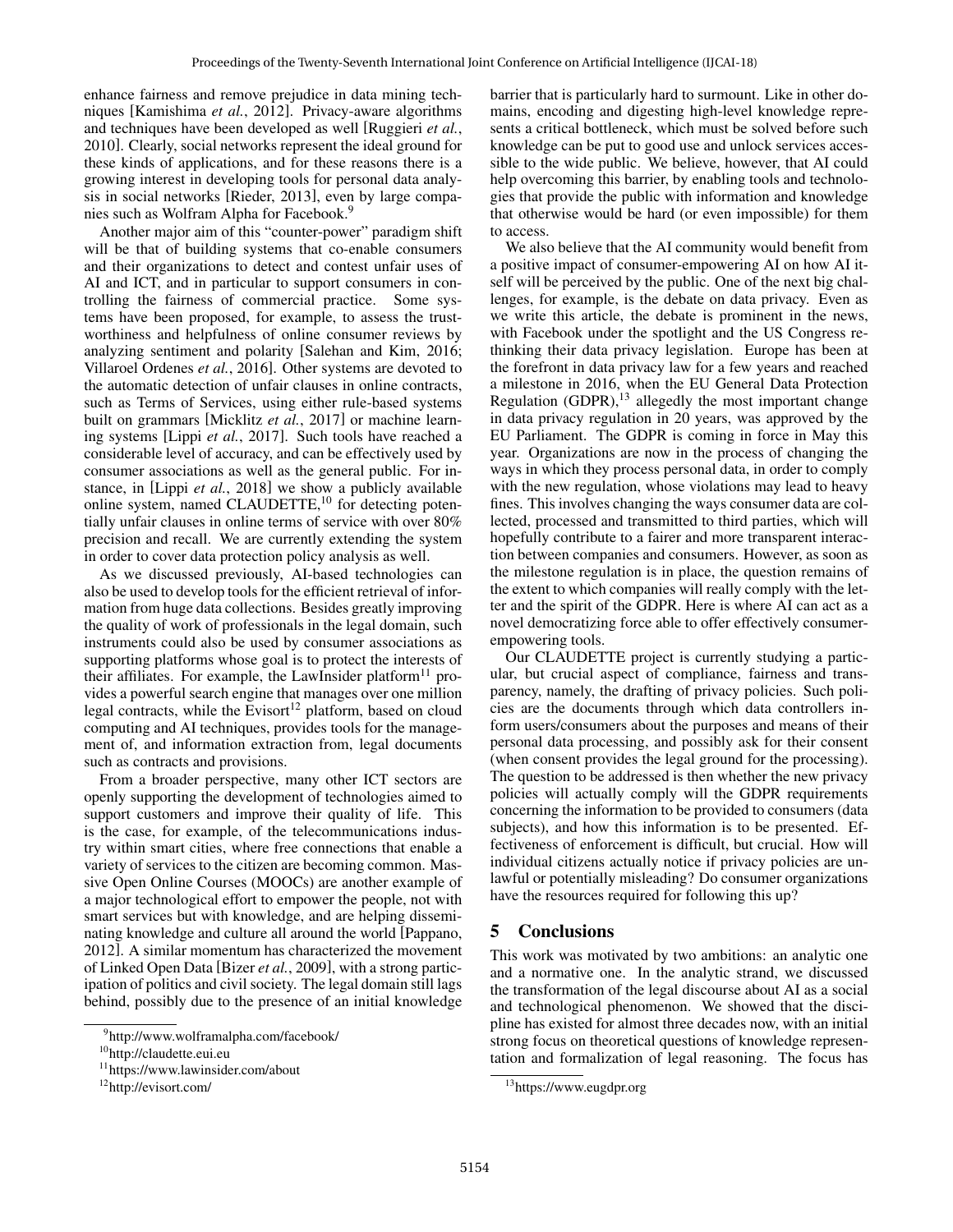enhance fairness and remove prejudice in data mining techniques [Kamishima *et al.*, 2012]. Privacy-aware algorithms and techniques have been developed as well [Ruggieri *et al.*, 2010]. Clearly, social networks represent the ideal ground for these kinds of applications, and for these reasons there is a growing interest in developing tools for personal data analysis in social networks [Rieder, 2013], even by large companies such as Wolfram Alpha for Facebook.<sup>9</sup>

Another major aim of this "counter-power" paradigm shift will be that of building systems that co-enable consumers and their organizations to detect and contest unfair uses of AI and ICT, and in particular to support consumers in controlling the fairness of commercial practice. Some systems have been proposed, for example, to assess the trustworthiness and helpfulness of online consumer reviews by analyzing sentiment and polarity [Salehan and Kim, 2016; Villaroel Ordenes *et al.*, 2016]. Other systems are devoted to the automatic detection of unfair clauses in online contracts, such as Terms of Services, using either rule-based systems built on grammars [Micklitz *et al.*, 2017] or machine learning systems [Lippi *et al.*, 2017]. Such tools have reached a considerable level of accuracy, and can be effectively used by consumer associations as well as the general public. For instance, in [Lippi *et al.*, 2018] we show a publicly available online system, named CLAUDETTE, $^{10}$  for detecting potentially unfair clauses in online terms of service with over 80% precision and recall. We are currently extending the system in order to cover data protection policy analysis as well.

As we discussed previously, AI-based technologies can also be used to develop tools for the efficient retrieval of information from huge data collections. Besides greatly improving the quality of work of professionals in the legal domain, such instruments could also be used by consumer associations as supporting platforms whose goal is to protect the interests of their affiliates. For example, the LawInsider platform<sup>11</sup> provides a powerful search engine that manages over one million legal contracts, while the Evisort<sup>12</sup> platform, based on cloud computing and AI techniques, provides tools for the management of, and information extraction from, legal documents such as contracts and provisions.

From a broader perspective, many other ICT sectors are openly supporting the development of technologies aimed to support customers and improve their quality of life. This is the case, for example, of the telecommunications industry within smart cities, where free connections that enable a variety of services to the citizen are becoming common. Massive Open Online Courses (MOOCs) are another example of a major technological effort to empower the people, not with smart services but with knowledge, and are helping disseminating knowledge and culture all around the world [Pappano, 2012]. A similar momentum has characterized the movement of Linked Open Data [Bizer *et al.*, 2009], with a strong participation of politics and civil society. The legal domain still lags behind, possibly due to the presence of an initial knowledge barrier that is particularly hard to surmount. Like in other domains, encoding and digesting high-level knowledge represents a critical bottleneck, which must be solved before such knowledge can be put to good use and unlock services accessible to the wide public. We believe, however, that AI could help overcoming this barrier, by enabling tools and technologies that provide the public with information and knowledge that otherwise would be hard (or even impossible) for them to access.

We also believe that the AI community would benefit from a positive impact of consumer-empowering AI on how AI itself will be perceived by the public. One of the next big challenges, for example, is the debate on data privacy. Even as we write this article, the debate is prominent in the news, with Facebook under the spotlight and the US Congress rethinking their data privacy legislation. Europe has been at the forefront in data privacy law for a few years and reached a milestone in 2016, when the EU General Data Protection Regulation (GDPR), $^{13}$  allegedly the most important change in data privacy regulation in 20 years, was approved by the EU Parliament. The GDPR is coming in force in May this year. Organizations are now in the process of changing the ways in which they process personal data, in order to comply with the new regulation, whose violations may lead to heavy fines. This involves changing the ways consumer data are collected, processed and transmitted to third parties, which will hopefully contribute to a fairer and more transparent interaction between companies and consumers. However, as soon as the milestone regulation is in place, the question remains of the extent to which companies will really comply with the letter and the spirit of the GDPR. Here is where AI can act as a novel democratizing force able to offer effectively consumerempowering tools.

Our CLAUDETTE project is currently studying a particular, but crucial aspect of compliance, fairness and transparency, namely, the drafting of privacy policies. Such policies are the documents through which data controllers inform users/consumers about the purposes and means of their personal data processing, and possibly ask for their consent (when consent provides the legal ground for the processing). The question to be addressed is then whether the new privacy policies will actually comply will the GDPR requirements concerning the information to be provided to consumers (data subjects), and how this information is to be presented. Effectiveness of enforcement is difficult, but crucial. How will individual citizens actually notice if privacy policies are unlawful or potentially misleading? Do consumer organizations have the resources required for following this up?

### 5 Conclusions

This work was motivated by two ambitions: an analytic one and a normative one. In the analytic strand, we discussed the transformation of the legal discourse about AI as a social and technological phenomenon. We showed that the discipline has existed for almost three decades now, with an initial strong focus on theoretical questions of knowledge representation and formalization of legal reasoning. The focus has

<sup>9</sup> http://www.wolframalpha.com/facebook/

<sup>10</sup>http://claudette.eui.eu

<sup>11</sup>https://www.lawinsider.com/about

<sup>12</sup>http://evisort.com/

<sup>13</sup>https://www.eugdpr.org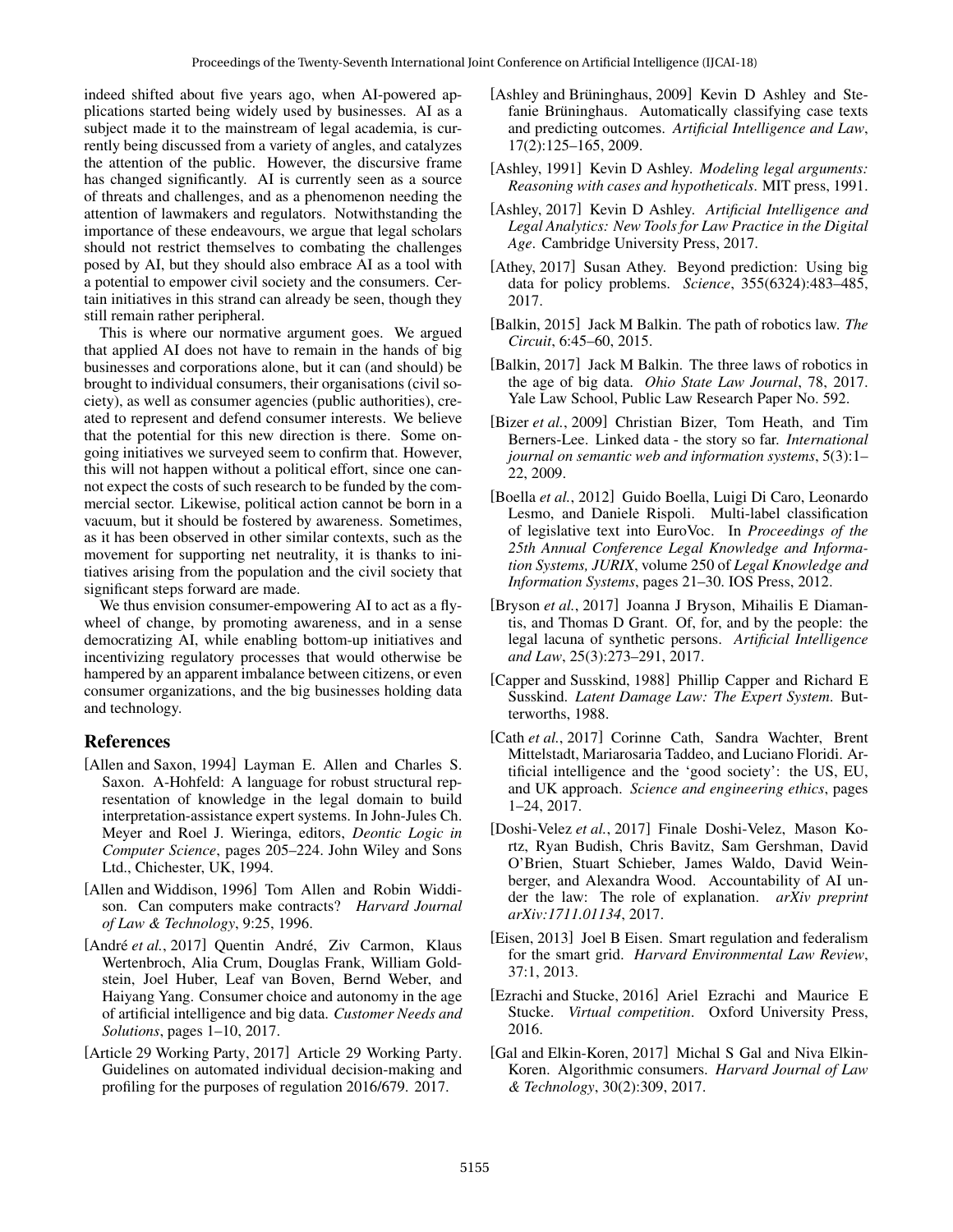indeed shifted about five years ago, when AI-powered applications started being widely used by businesses. AI as a subject made it to the mainstream of legal academia, is currently being discussed from a variety of angles, and catalyzes the attention of the public. However, the discursive frame has changed significantly. AI is currently seen as a source of threats and challenges, and as a phenomenon needing the attention of lawmakers and regulators. Notwithstanding the importance of these endeavours, we argue that legal scholars should not restrict themselves to combating the challenges posed by AI, but they should also embrace AI as a tool with a potential to empower civil society and the consumers. Certain initiatives in this strand can already be seen, though they still remain rather peripheral.

This is where our normative argument goes. We argued that applied AI does not have to remain in the hands of big businesses and corporations alone, but it can (and should) be brought to individual consumers, their organisations (civil society), as well as consumer agencies (public authorities), created to represent and defend consumer interests. We believe that the potential for this new direction is there. Some ongoing initiatives we surveyed seem to confirm that. However, this will not happen without a political effort, since one cannot expect the costs of such research to be funded by the commercial sector. Likewise, political action cannot be born in a vacuum, but it should be fostered by awareness. Sometimes, as it has been observed in other similar contexts, such as the movement for supporting net neutrality, it is thanks to initiatives arising from the population and the civil society that significant steps forward are made.

We thus envision consumer-empowering AI to act as a flywheel of change, by promoting awareness, and in a sense democratizing AI, while enabling bottom-up initiatives and incentivizing regulatory processes that would otherwise be hampered by an apparent imbalance between citizens, or even consumer organizations, and the big businesses holding data and technology.

### References

- [Allen and Saxon, 1994] Layman E. Allen and Charles S. Saxon. A-Hohfeld: A language for robust structural representation of knowledge in the legal domain to build interpretation-assistance expert systems. In John-Jules Ch. Meyer and Roel J. Wieringa, editors, *Deontic Logic in Computer Science*, pages 205–224. John Wiley and Sons Ltd., Chichester, UK, 1994.
- [Allen and Widdison, 1996] Tom Allen and Robin Widdison. Can computers make contracts? *Harvard Journal of Law & Technology*, 9:25, 1996.
- [André et al., 2017] Quentin André, Ziv Carmon, Klaus Wertenbroch, Alia Crum, Douglas Frank, William Goldstein, Joel Huber, Leaf van Boven, Bernd Weber, and Haiyang Yang. Consumer choice and autonomy in the age of artificial intelligence and big data. *Customer Needs and Solutions*, pages 1–10, 2017.
- [Article 29 Working Party, 2017] Article 29 Working Party. Guidelines on automated individual decision-making and profiling for the purposes of regulation 2016/679. 2017.
- [Ashley and Brüninghaus, 2009] Kevin D Ashley and Stefanie Brüninghaus. Automatically classifying case texts and predicting outcomes. *Artificial Intelligence and Law*, 17(2):125–165, 2009.
- [Ashley, 1991] Kevin D Ashley. *Modeling legal arguments: Reasoning with cases and hypotheticals*. MIT press, 1991.
- [Ashley, 2017] Kevin D Ashley. *Artificial Intelligence and Legal Analytics: New Tools for Law Practice in the Digital Age*. Cambridge University Press, 2017.
- [Athey, 2017] Susan Athey. Beyond prediction: Using big data for policy problems. *Science*, 355(6324):483–485, 2017.
- [Balkin, 2015] Jack M Balkin. The path of robotics law. *The Circuit*, 6:45–60, 2015.
- [Balkin, 2017] Jack M Balkin. The three laws of robotics in the age of big data. *Ohio State Law Journal*, 78, 2017. Yale Law School, Public Law Research Paper No. 592.
- [Bizer *et al.*, 2009] Christian Bizer, Tom Heath, and Tim Berners-Lee. Linked data - the story so far. *International journal on semantic web and information systems*, 5(3):1– 22, 2009.
- [Boella *et al.*, 2012] Guido Boella, Luigi Di Caro, Leonardo Lesmo, and Daniele Rispoli. Multi-label classification of legislative text into EuroVoc. In *Proceedings of the 25th Annual Conference Legal Knowledge and Information Systems, JURIX*, volume 250 of *Legal Knowledge and Information Systems*, pages 21–30. IOS Press, 2012.
- [Bryson *et al.*, 2017] Joanna J Bryson, Mihailis E Diamantis, and Thomas D Grant. Of, for, and by the people: the legal lacuna of synthetic persons. *Artificial Intelligence and Law*, 25(3):273–291, 2017.
- [Capper and Susskind, 1988] Phillip Capper and Richard E Susskind. *Latent Damage Law: The Expert System*. Butterworths, 1988.
- [Cath *et al.*, 2017] Corinne Cath, Sandra Wachter, Brent Mittelstadt, Mariarosaria Taddeo, and Luciano Floridi. Artificial intelligence and the 'good society': the US, EU, and UK approach. *Science and engineering ethics*, pages 1–24, 2017.
- [Doshi-Velez *et al.*, 2017] Finale Doshi-Velez, Mason Kortz, Ryan Budish, Chris Bavitz, Sam Gershman, David O'Brien, Stuart Schieber, James Waldo, David Weinberger, and Alexandra Wood. Accountability of AI under the law: The role of explanation. *arXiv preprint arXiv:1711.01134*, 2017.
- [Eisen, 2013] Joel B Eisen. Smart regulation and federalism for the smart grid. *Harvard Environmental Law Review*, 37:1, 2013.
- [Ezrachi and Stucke, 2016] Ariel Ezrachi and Maurice E Stucke. *Virtual competition*. Oxford University Press, 2016.
- [Gal and Elkin-Koren, 2017] Michal S Gal and Niva Elkin-Koren. Algorithmic consumers. *Harvard Journal of Law & Technology*, 30(2):309, 2017.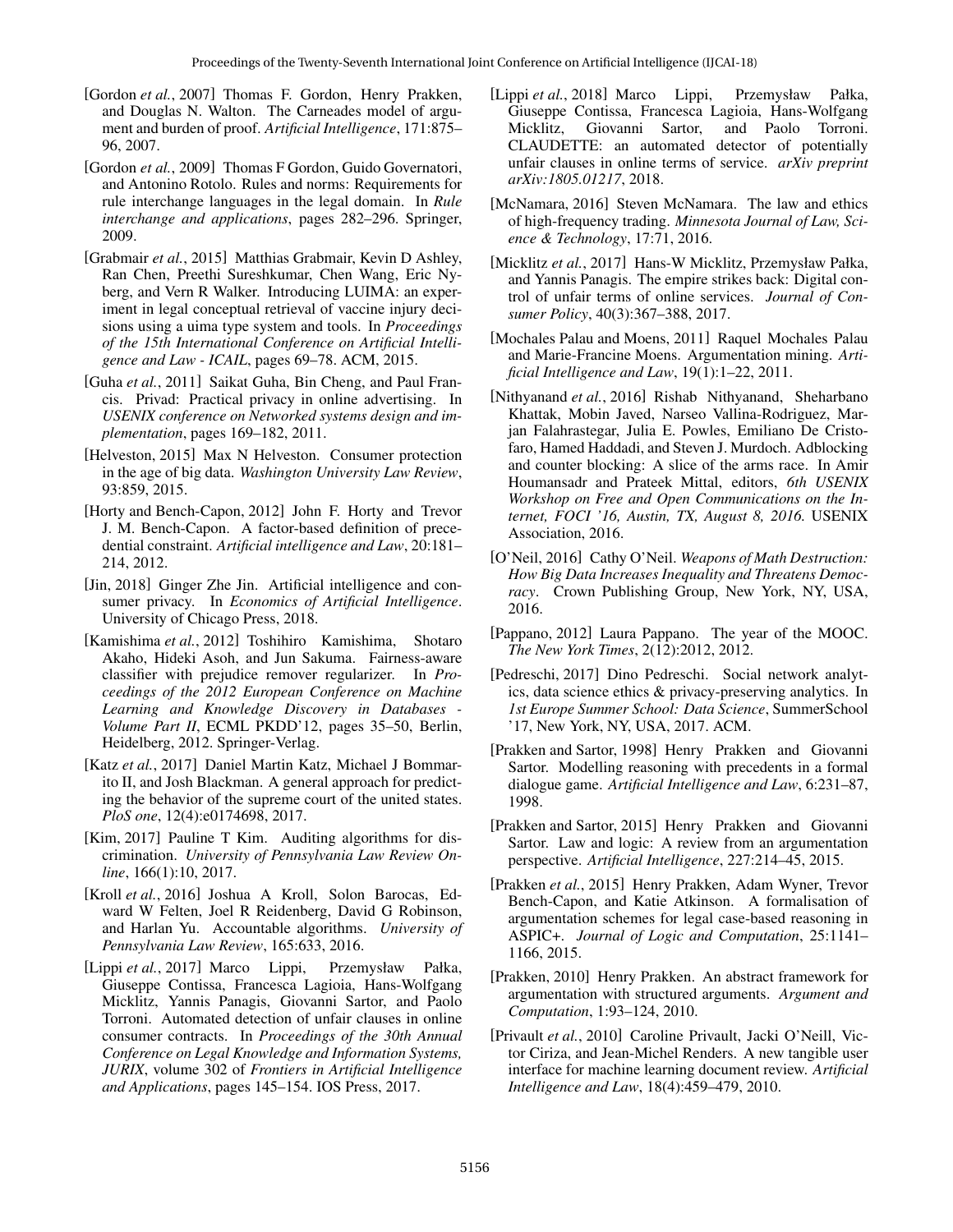- [Gordon *et al.*, 2007] Thomas F. Gordon, Henry Prakken, and Douglas N. Walton. The Carneades model of argument and burden of proof. *Artificial Intelligence*, 171:875– 96, 2007.
- [Gordon *et al.*, 2009] Thomas F Gordon, Guido Governatori, and Antonino Rotolo. Rules and norms: Requirements for rule interchange languages in the legal domain. In *Rule interchange and applications*, pages 282–296. Springer, 2009.
- [Grabmair *et al.*, 2015] Matthias Grabmair, Kevin D Ashley, Ran Chen, Preethi Sureshkumar, Chen Wang, Eric Nyberg, and Vern R Walker. Introducing LUIMA: an experiment in legal conceptual retrieval of vaccine injury decisions using a uima type system and tools. In *Proceedings of the 15th International Conference on Artificial Intelligence and Law - ICAIL*, pages 69–78. ACM, 2015.
- [Guha *et al.*, 2011] Saikat Guha, Bin Cheng, and Paul Francis. Privad: Practical privacy in online advertising. In *USENIX conference on Networked systems design and implementation*, pages 169–182, 2011.
- [Helveston, 2015] Max N Helveston. Consumer protection in the age of big data. *Washington University Law Review*, 93:859, 2015.
- [Horty and Bench-Capon, 2012] John F. Horty and Trevor J. M. Bench-Capon. A factor-based definition of precedential constraint. *Artificial intelligence and Law*, 20:181– 214, 2012.
- [Jin, 2018] Ginger Zhe Jin. Artificial intelligence and consumer privacy. In *Economics of Artificial Intelligence*. University of Chicago Press, 2018.
- [Kamishima *et al.*, 2012] Toshihiro Kamishima, Shotaro Akaho, Hideki Asoh, and Jun Sakuma. Fairness-aware classifier with prejudice remover regularizer. In *Proceedings of the 2012 European Conference on Machine Learning and Knowledge Discovery in Databases - Volume Part II*, ECML PKDD'12, pages 35–50, Berlin, Heidelberg, 2012. Springer-Verlag.
- [Katz et al., 2017] Daniel Martin Katz, Michael J Bommarito II, and Josh Blackman. A general approach for predicting the behavior of the supreme court of the united states. *PloS one*, 12(4):e0174698, 2017.
- [Kim, 2017] Pauline T Kim. Auditing algorithms for discrimination. *University of Pennsylvania Law Review Online*, 166(1):10, 2017.
- [Kroll *et al.*, 2016] Joshua A Kroll, Solon Barocas, Edward W Felten, Joel R Reidenberg, David G Robinson, and Harlan Yu. Accountable algorithms. *University of Pennsylvania Law Review*, 165:633, 2016.
- [Lippi *et al.*, 2017] Marco Lippi, Przemysław Pałka, Giuseppe Contissa, Francesca Lagioia, Hans-Wolfgang Micklitz, Yannis Panagis, Giovanni Sartor, and Paolo Torroni. Automated detection of unfair clauses in online consumer contracts. In *Proceedings of the 30th Annual Conference on Legal Knowledge and Information Systems, JURIX*, volume 302 of *Frontiers in Artificial Intelligence and Applications*, pages 145–154. IOS Press, 2017.
- [Lippi *et al.*, 2018] Marco Lippi, Przemysław Pałka, Giuseppe Contissa, Francesca Lagioia, Hans-Wolfgang Micklitz, Giovanni Sartor, and Paolo Torroni. CLAUDETTE: an automated detector of potentially unfair clauses in online terms of service. *arXiv preprint arXiv:1805.01217*, 2018.
- [McNamara, 2016] Steven McNamara. The law and ethics of high-frequency trading. *Minnesota Journal of Law, Science & Technology*, 17:71, 2016.
- [Micklitz *et al.*, 2017] Hans-W Micklitz, Przemysław Pałka, and Yannis Panagis. The empire strikes back: Digital control of unfair terms of online services. *Journal of Consumer Policy*, 40(3):367–388, 2017.
- [Mochales Palau and Moens, 2011] Raquel Mochales Palau and Marie-Francine Moens. Argumentation mining. *Artificial Intelligence and Law*, 19(1):1–22, 2011.
- [Nithyanand *et al.*, 2016] Rishab Nithyanand, Sheharbano Khattak, Mobin Javed, Narseo Vallina-Rodriguez, Marjan Falahrastegar, Julia E. Powles, Emiliano De Cristofaro, Hamed Haddadi, and Steven J. Murdoch. Adblocking and counter blocking: A slice of the arms race. In Amir Houmansadr and Prateek Mittal, editors, *6th USENIX Workshop on Free and Open Communications on the Internet, FOCI '16, Austin, TX, August 8, 2016.* USENIX Association, 2016.
- [O'Neil, 2016] Cathy O'Neil. *Weapons of Math Destruction: How Big Data Increases Inequality and Threatens Democracy*. Crown Publishing Group, New York, NY, USA, 2016.
- [Pappano, 2012] Laura Pappano. The year of the MOOC. *The New York Times*, 2(12):2012, 2012.
- [Pedreschi, 2017] Dino Pedreschi. Social network analytics, data science ethics & privacy-preserving analytics. In *1st Europe Summer School: Data Science*, SummerSchool '17, New York, NY, USA, 2017. ACM.
- [Prakken and Sartor, 1998] Henry Prakken and Giovanni Sartor. Modelling reasoning with precedents in a formal dialogue game. *Artificial Intelligence and Law*, 6:231–87, 1998.
- [Prakken and Sartor, 2015] Henry Prakken and Giovanni Sartor. Law and logic: A review from an argumentation perspective. *Artificial Intelligence*, 227:214–45, 2015.
- [Prakken *et al.*, 2015] Henry Prakken, Adam Wyner, Trevor Bench-Capon, and Katie Atkinson. A formalisation of argumentation schemes for legal case-based reasoning in ASPIC+. *Journal of Logic and Computation*, 25:1141– 1166, 2015.
- [Prakken, 2010] Henry Prakken. An abstract framework for argumentation with structured arguments. *Argument and Computation*, 1:93–124, 2010.
- [Privault *et al.*, 2010] Caroline Privault, Jacki O'Neill, Victor Ciriza, and Jean-Michel Renders. A new tangible user interface for machine learning document review. *Artificial Intelligence and Law*, 18(4):459–479, 2010.